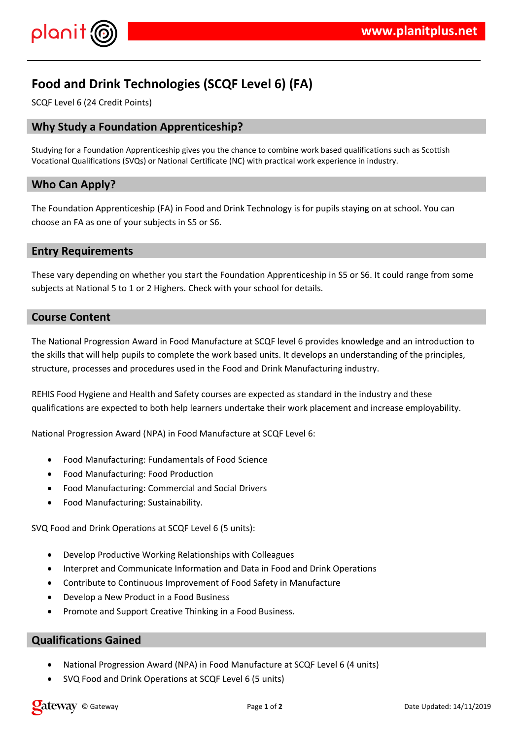

# **Food and Drink Technologies (SCQF Level 6) (FA)**

SCQF Level 6 (24 Credit Points)

# **Why Study a Foundation Apprenticeship?**

Studying for a Foundation Apprenticeship gives you the chance to combine work based qualifications such as Scottish Vocational Qualifications (SVQs) or National Certificate (NC) with practical work experience in industry.

# **Who Can Apply?**

The Foundation Apprenticeship (FA) in Food and Drink Technology is for pupils staying on at school. You can choose an FA as one of your subjects in S5 or S6.

### **Entry Requirements**

These vary depending on whether you start the Foundation Apprenticeship in S5 or S6. It could range from some subjects at National 5 to 1 or 2 Highers. Check with your school for details.

### **Course Content**

The National Progression Award in Food Manufacture at SCQF level 6 provides knowledge and an introduction to the skills that will help pupils to complete the work based units. It develops an understanding of the principles, structure, processes and procedures used in the Food and Drink Manufacturing industry.

REHIS Food Hygiene and Health and Safety courses are expected as standard in the industry and these qualifications are expected to both help learners undertake their work placement and increase employability.

National Progression Award (NPA) in Food Manufacture at SCQF Level 6:

- Food Manufacturing: Fundamentals of Food Science
- Food Manufacturing: Food Production
- Food Manufacturing: Commercial and Social Drivers
- Food Manufacturing: Sustainability.

SVQ Food and Drink Operations at SCQF Level 6 (5 units):

- Develop Productive Working Relationships with Colleagues
- Interpret and Communicate Information and Data in Food and Drink Operations
- Contribute to Continuous Improvement of Food Safety in Manufacture
- Develop a New Product in a Food Business
- Promote and Support Creative Thinking in a Food Business.

### **Qualifications Gained**

- National Progression Award (NPA) in Food Manufacture at SCQF Level 6 (4 units)
- SVQ Food and Drink Operations at SCQF Level 6 (5 units)